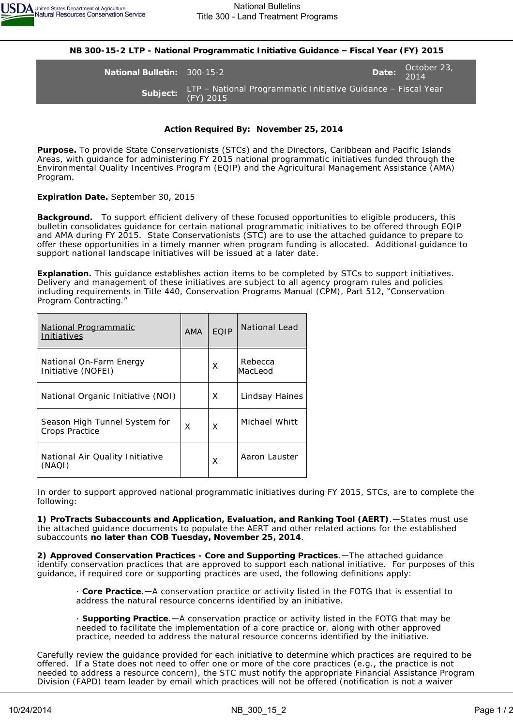

**NB 300-15-2 LTP - National Programmatic Initiative Guidance – Fiscal Year (FY) 2015**

**National Bulletin:** 300-15-2 **Date:** October 23, Date: 0.14 2014 **Subject:** LTP – National Programmatic Initiative Guidance – Fiscal Year (FY) 2015

## **Action Required By: November 25, 2014**

**Purpose.** To provide State Conservationists (STCs) and the Directors, Caribbean and Pacific Islands Areas, with guidance for administering FY 2015 national programmatic initiatives funded through the Environmental Quality Incentives Program (EQIP) and the Agricultural Management Assistance (AMA) Program.

## **Expiration Date.** September 30, 2015

**Background.** To support efficient delivery of these focused opportunities to eligible producers, this bulletin consolidates guidance for certain national programmatic initiatives to be offered through EQIP and AMA during FY 2015. State Conservationists (STC) are to use the attached guidance to prepare to offer these opportunities in a timely manner when program funding is allocated. Additional guidance to support national landscape initiatives will be issued at a later date.

**Explanation.** This guidance establishes action items to be completed by STCs to support initiatives. Delivery and management of these initiatives are subject to all agency program rules and policies including requirements in Title 440, Conservation Programs Manual (CPM), Part 512, "Conservation Program Contracting."

| <u>National Programmatic</u><br>Initiatives     | <b>AMA</b> | EOIP | National Lead      |
|-------------------------------------------------|------------|------|--------------------|
| National On-Farm Energy<br>Initiative (NOFEI)   |            | X    | Rebecca<br>MacLeod |
| National Organic Initiative (NOI)               |            | X    | Lindsay Haines     |
| Season High Tunnel System for<br>Crops Practice | X          | X    | Michael Whitt      |
| National Air Quality Initiative<br>(NAQI)       |            | X    | Aaron Lauster      |

In order to support approved national programmatic initiatives during FY 2015, STCs, are to complete the following:

**1) ProTracts Subaccounts and Application, Evaluation, and Ranking Tool (AERT)**.—States must use the attached guidance documents to populate the AERT and other related actions for the established subaccounts **no later than COB Tuesday, November 25, 2014**.

**2) Approved Conservation Practices - Core and Supporting Practices**.—The attached guidance identify conservation practices that are approved to support each national initiative. For purposes of this guidance, if required core or supporting practices are used, the following definitions apply:

· **Core Practice**.—A conservation practice or activity listed in the FOTG that is essential to address the natural resource concerns identified by an initiative.

· **Supporting Practice**.—A conservation practice or activity listed in the FOTG that may be needed to facilitate the implementation of a core practice or, along with other approved practice, needed to address the natural resource concerns identified by the initiative.

Carefully review the guidance provided for each initiative to determine which practices are required to be offered. If a State does not need to offer one or more of the core practices (e.g., the practice is not needed to address a resource concern), the STC must notify the appropriate Financial Assistance Program Division (FAPD) team leader by email which practices will not be offered (notification is not a waiver request). If additional supporting probabilities with probabilities  $\mathcal{L}_{\mathcal{S}}$  initiatives, the support these initiatives, the support these initiatives, the support these initiatives, the support theorem in the supp